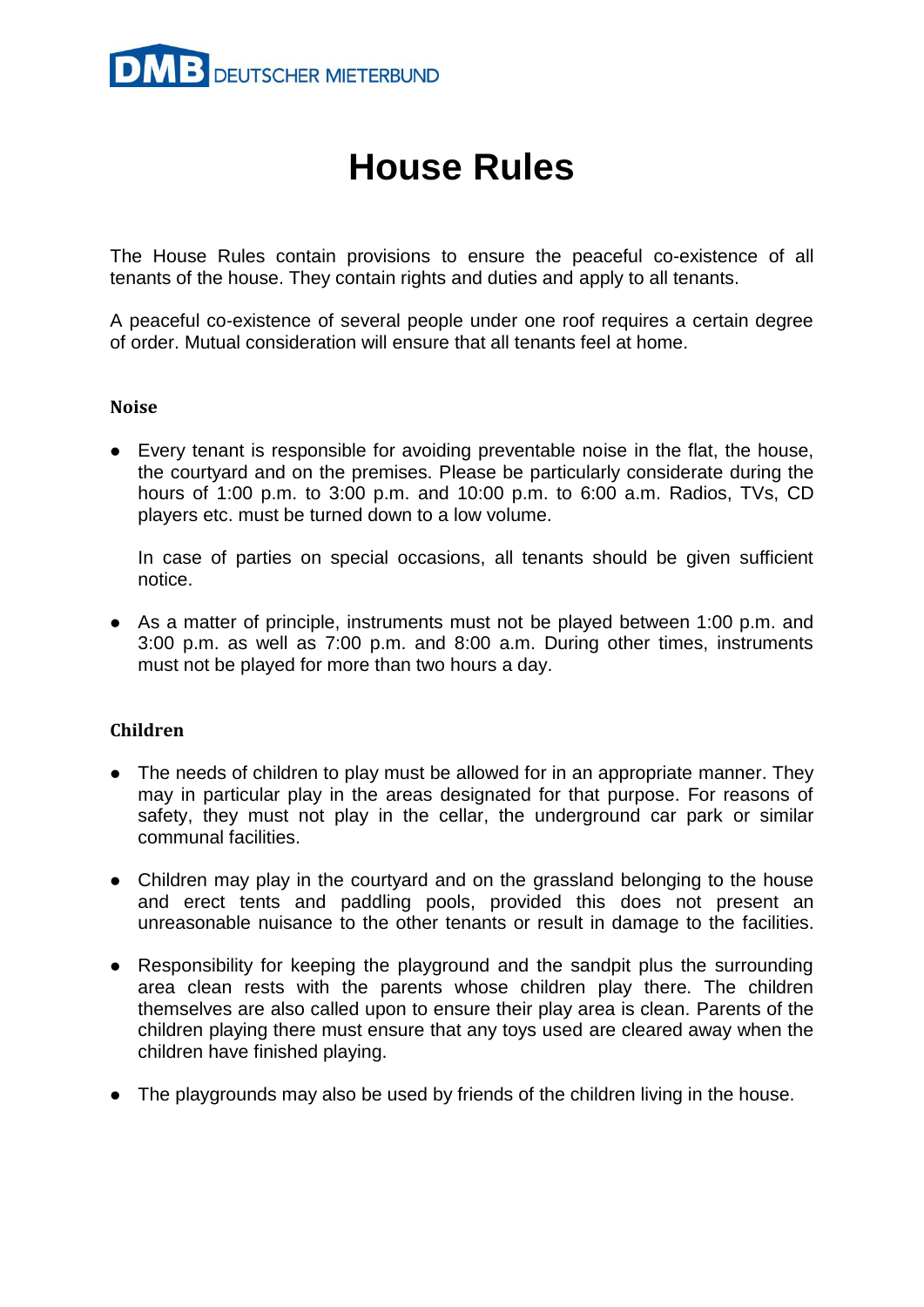

# **House Rules**

The House Rules contain provisions to ensure the peaceful co-existence of all tenants of the house. They contain rights and duties and apply to all tenants.

A peaceful co-existence of several people under one roof requires a certain degree of order. Mutual consideration will ensure that all tenants feel at home.

## **Noise**

 Every tenant is responsible for avoiding preventable noise in the flat, the house, the courtyard and on the premises. Please be particularly considerate during the hours of 1:00 p.m. to 3:00 p.m. and 10:00 p.m. to 6:00 a.m. Radios, TVs, CD players etc. must be turned down to a low volume.

In case of parties on special occasions, all tenants should be given sufficient notice.

 As a matter of principle, instruments must not be played between 1:00 p.m. and 3:00 p.m. as well as 7:00 p.m. and 8:00 a.m. During other times, instruments must not be played for more than two hours a day.

# **Children**

- The needs of children to play must be allowed for in an appropriate manner. They may in particular play in the areas designated for that purpose. For reasons of safety, they must not play in the cellar, the underground car park or similar communal facilities.
- Children may play in the courtyard and on the grassland belonging to the house and erect tents and paddling pools, provided this does not present an unreasonable nuisance to the other tenants or result in damage to the facilities.
- Responsibility for keeping the playground and the sandpit plus the surrounding area clean rests with the parents whose children play there. The children themselves are also called upon to ensure their play area is clean. Parents of the children playing there must ensure that any toys used are cleared away when the children have finished playing.
- The playgrounds may also be used by friends of the children living in the house.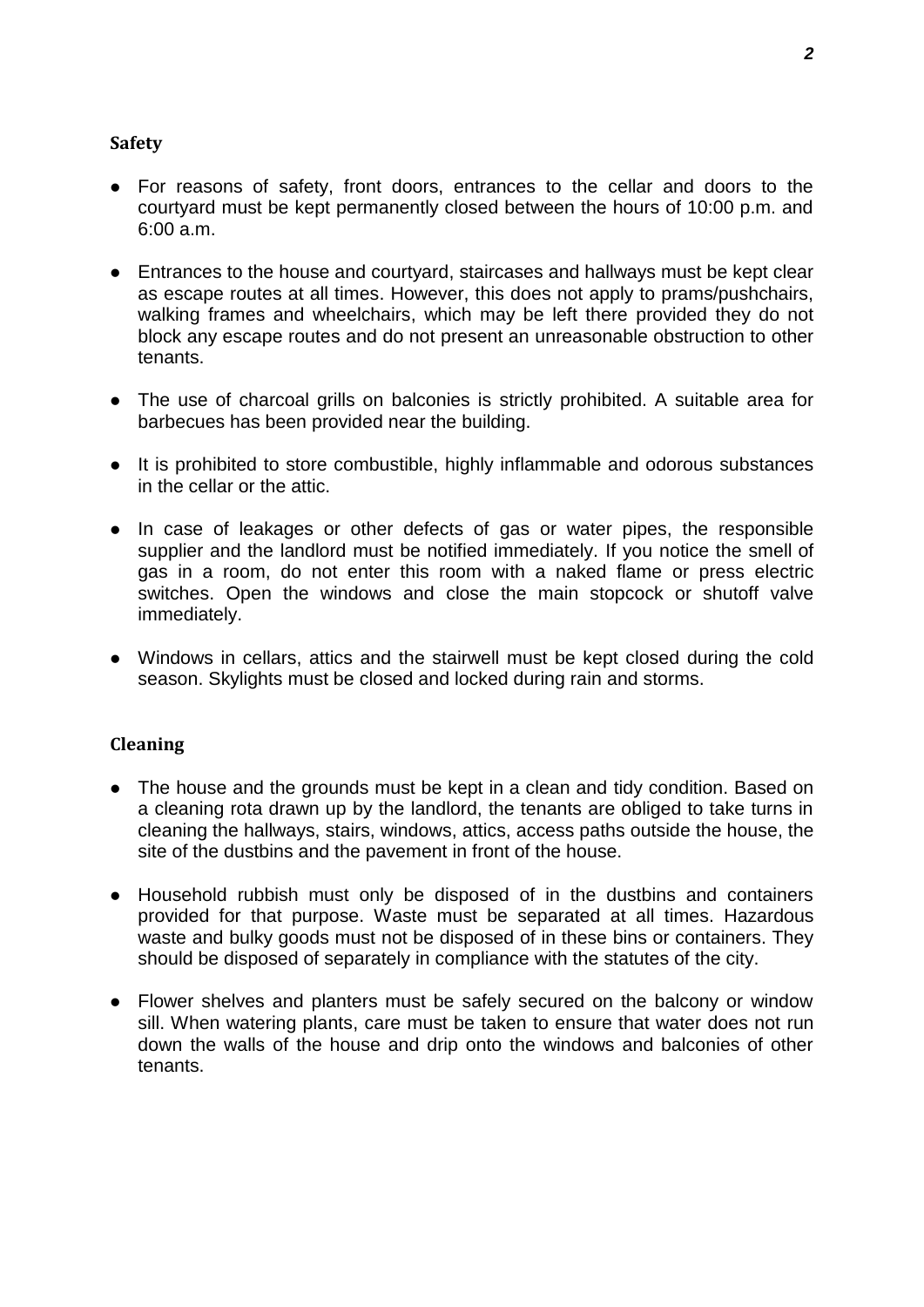## **Safety**

- For reasons of safety, front doors, entrances to the cellar and doors to the courtyard must be kept permanently closed between the hours of 10:00 p.m. and 6:00 a.m.
- Entrances to the house and courtyard, staircases and hallways must be kept clear as escape routes at all times. However, this does not apply to prams/pushchairs, walking frames and wheelchairs, which may be left there provided they do not block any escape routes and do not present an unreasonable obstruction to other tenants.
- The use of charcoal grills on balconies is strictly prohibited. A suitable area for barbecues has been provided near the building.
- It is prohibited to store combustible, highly inflammable and odorous substances in the cellar or the attic.
- In case of leakages or other defects of gas or water pipes, the responsible supplier and the landlord must be notified immediately. If you notice the smell of gas in a room, do not enter this room with a naked flame or press electric switches. Open the windows and close the main stopcock or shutoff valve immediately.
- Windows in cellars, attics and the stairwell must be kept closed during the cold season. Skylights must be closed and locked during rain and storms.

## **Cleaning**

- The house and the grounds must be kept in a clean and tidy condition. Based on a cleaning rota drawn up by the landlord, the tenants are obliged to take turns in cleaning the hallways, stairs, windows, attics, access paths outside the house, the site of the dustbins and the pavement in front of the house.
- Household rubbish must only be disposed of in the dustbins and containers provided for that purpose. Waste must be separated at all times. Hazardous waste and bulky goods must not be disposed of in these bins or containers. They should be disposed of separately in compliance with the statutes of the city.
- Flower shelves and planters must be safely secured on the balcony or window sill. When watering plants, care must be taken to ensure that water does not run down the walls of the house and drip onto the windows and balconies of other tenants.